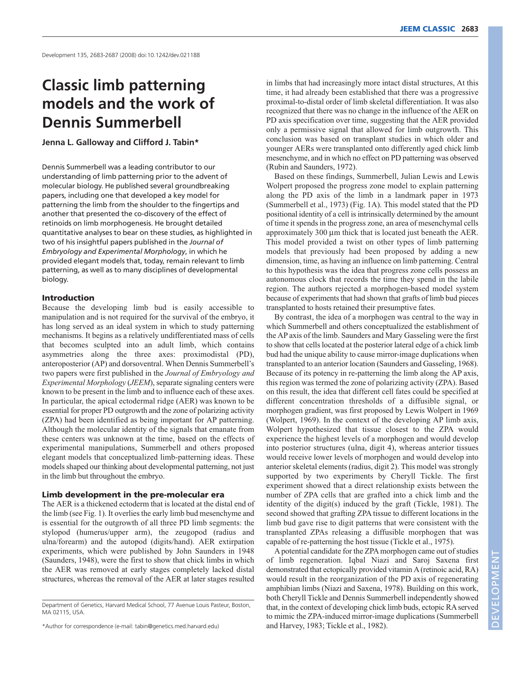# **Classic limb patterning models and the work of Dennis Summerbell**

**Jenna L. Galloway and Clifford J. Tabin\***

Dennis Summerbell was a leading contributor to our understanding of limb patterning prior to the advent of molecular biology. He published several groundbreaking papers, including one that developed a key model for patterning the limb from the shoulder to the fingertips and another that presented the co-discovery of the effect of retinoids on limb morphogenesis. He brought detailed quantitative analyses to bear on these studies, as highlighted in two of his insightful papers published in the *Journal of Embryology and Experimental Morphology*, in which he provided elegant models that, today, remain relevant to limb patterning, as well as to many disciplines of developmental biology.

### **Introduction**

Because the developing limb bud is easily accessible to manipulation and is not required for the survival of the embryo, it has long served as an ideal system in which to study patterning mechanisms. It begins as a relatively undifferentiated mass of cells that becomes sculpted into an adult limb, which contains asymmetries along the three axes: proximodistal (PD), anteroposterior (AP) and dorsoventral. When Dennis Summerbell's two papers were first published in the *Journal of Embryology and Experimental Morphology* (*JEEM*), separate signaling centers were known to be present in the limb and to influence each of these axes. In particular, the apical ectodermal ridge (AER) was known to be essential for proper PD outgrowth and the zone of polarizing activity (ZPA) had been identified as being important for AP patterning. Although the molecular identity of the signals that emanate from these centers was unknown at the time, based on the effects of experimental manipulations, Summerbell and others proposed elegant models that conceptualized limb-patterning ideas. These models shaped our thinking about developmental patterning, not just in the limb but throughout the embryo.

#### **Limb development in the pre-molecular era**

The AER is a thickened ectoderm that is located at the distal end of the limb (see Fig. 1). It overlies the early limb bud mesenchyme and is essential for the outgrowth of all three PD limb segments: the stylopod (humerus/upper arm), the zeugopod (radius and ulna/forearm) and the autopod (digits/hand). AER extirpation experiments, which were published by John Saunders in 1948 (Saunders, 1948), were the first to show that chick limbs in which the AER was removed at early stages completely lacked distal structures, whereas the removal of the AER at later stages resulted

in limbs that had increasingly more intact distal structures, At this time, it had already been established that there was a progressive proximal-to-distal order of limb skeletal differentiation. It was also recognized that there was no change in the influence of the AER on PD axis specification over time, suggesting that the AER provided only a permissive signal that allowed for limb outgrowth. This conclusion was based on transplant studies in which older and younger AERs were transplanted onto differently aged chick limb mesenchyme, and in which no effect on PD patterning was observed (Rubin and Saunders, 1972).

Based on these findings, Summerbell, Julian Lewis and Lewis Wolpert proposed the progress zone model to explain patterning along the PD axis of the limb in a landmark paper in 1973 (Summerbell et al., 1973) (Fig. 1A). This model stated that the PD positional identity of a cell is intrinsically determined by the amount of time it spends in the progress zone, an area of mesenchymal cells approximately 300 μm thick that is located just beneath the AER. This model provided a twist on other types of limb patterning models that previously had been proposed by adding a new dimension, time, as having an influence on limb patterning. Central to this hypothesis was the idea that progress zone cells possess an autonomous clock that records the time they spend in the labile region. The authors rejected a morphogen-based model system because of experiments that had shown that grafts of limb bud pieces transplanted to hosts retained their presumptive fates.

By contrast, the idea of a morphogen was central to the way in which Summerbell and others conceptualized the establishment of the AP axis of the limb. Saunders and Mary Gasseling were the first to show that cells located at the posterior lateral edge of a chick limb bud had the unique ability to cause mirror-image duplications when transplanted to an anterior location (Saunders and Gasseling, 1968). Because of its potency in re-patterning the limb along the AP axis, this region was termed the zone of polarizing activity (ZPA). Based on this result, the idea that different cell fates could be specified at different concentration thresholds of a diffusible signal, or morphogen gradient, was first proposed by Lewis Wolpert in 1969 (Wolpert, 1969). In the context of the developing AP limb axis, Wolpert hypothesized that tissue closest to the ZPA would experience the highest levels of a morphogen and would develop into posterior structures (ulna, digit 4), whereas anterior tissues would receive lower levels of morphogen and would develop into anterior skeletal elements (radius, digit 2). This model was strongly supported by two experiments by Cheryll Tickle. The first experiment showed that a direct relationship exists between the number of ZPA cells that are grafted into a chick limb and the identity of the digit(s) induced by the graft (Tickle, 1981). The second showed that grafting ZPA tissue to different locations in the limb bud gave rise to digit patterns that were consistent with the transplanted ZPAs releasing a diffusible morphogen that was capable of re-patterning the host tissue (Tickle et al., 1975).

A potential candidate for the ZPA morphogen came out of studies of limb regeneration. Iqbal Niazi and Saroj Saxena first demonstrated that ectopically provided vitamin A (retinoic acid, RA) would result in the reorganization of the PD axis of regenerating amphibian limbs (Niazi and Saxena, 1978). Building on this work, both Cheryll Tickle and Dennis Summerbell independently showed that, in the context of developing chick limb buds, ectopic RA served to mimic the ZPA-induced mirror-image duplications (Summerbell and Harvey, 1983; Tickle et al., 1982).

Department of Genetics, Harvard Medical School, 77 Avenue Louis Pasteur, Boston, MA 02115, USA.

<sup>\*</sup>Author for correspondence (e-mail: tabin@genetics.med.harvard.edu)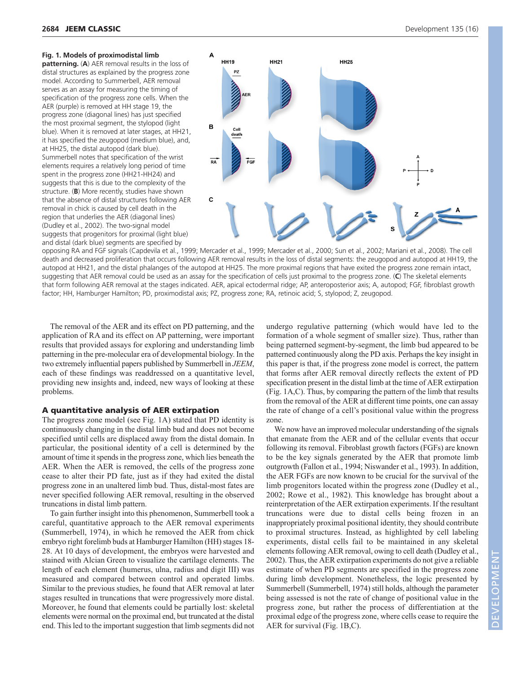### **Fig. 1. Models of proximodistal limb**

**patterning.** (**A**) AER removal results in the loss of distal structures as explained by the progress zone model. According to Summerbell, AER removal serves as an assay for measuring the timing of specification of the progress zone cells. When the AER (purple) is removed at HH stage 19, the progress zone (diagonal lines) has just specified the most proximal segment, the stylopod (light blue). When it is removed at later stages, at HH21, it has specified the zeugopod (medium blue), and, at HH25, the distal autopod (dark blue). Summerbell notes that specification of the wrist elements requires a relatively long period of time spent in the progress zone (HH21-HH24) and suggests that this is due to the complexity of the structure. (**B**) More recently, studies have shown that the absence of distal structures following AER removal in chick is caused by cell death in the region that underlies the AER (diagonal lines) (Dudley et al., 2002). The two-signal model suggests that progenitors for proximal (light blue) and distal (dark blue) segments are specified by



opposing RA and FGF signals (Capdevila et al., 1999; Mercader et al., 1999; Mercader et al., 2000; Sun et al., 2002; Mariani et al., 2008). The cell death and decreased proliferation that occurs following AER removal results in the loss of distal segments: the zeugopod and autopod at HH19, the autopod at HH21, and the distal phalanges of the autopod at HH25. The more proximal regions that have exited the progress zone remain intact, suggesting that AER removal could be used as an assay for the specification of cells just proximal to the progress zone. (**C**) The skeletal elements that form following AER removal at the stages indicated. AER, apical ectodermal ridge; AP, anteroposterior axis; A, autopod; FGF, fibroblast growth factor; HH, Hamburger Hamilton; PD, proximodistal axis; PZ, progress zone; RA, retinoic acid; S, stylopod; Z, zeugopod.

The removal of the AER and its effect on PD patterning, and the application of RA and its effect on AP patterning, were important results that provided assays for exploring and understanding limb patterning in the pre-molecular era of developmental biology. In the two extremely influential papers published by Summerbell in *JEEM*, each of these findings was readdressed on a quantitative level, providing new insights and, indeed, new ways of looking at these problems.

#### **A quantitative analysis of AER extirpation**

The progress zone model (see Fig. 1A) stated that PD identity is continuously changing in the distal limb bud and does not become specified until cells are displaced away from the distal domain. In particular, the positional identity of a cell is determined by the amount of time it spends in the progress zone, which lies beneath the AER. When the AER is removed, the cells of the progress zone cease to alter their PD fate, just as if they had exited the distal progress zone in an unaltered limb bud. Thus, distal-most fates are never specified following AER removal, resulting in the observed truncations in distal limb pattern.

To gain further insight into this phenomenon, Summerbell took a careful, quantitative approach to the AER removal experiments (Summerbell, 1974), in which he removed the AER from chick embryo right forelimb buds at Hamburger Hamilton (HH) stages 18- 28. At 10 days of development, the embryos were harvested and stained with Alcian Green to visualize the cartilage elements. The length of each element (humerus, ulna, radius and digit III) was measured and compared between control and operated limbs. Similar to the previous studies, he found that AER removal at later stages resulted in truncations that were progressively more distal. Moreover, he found that elements could be partially lost: skeletal elements were normal on the proximal end, but truncated at the distal end. This led to the important suggestion that limb segments did not

undergo regulative patterning (which would have led to the formation of a whole segment of smaller size). Thus, rather than being patterned segment-by-segment, the limb bud appeared to be patterned continuously along the PD axis. Perhaps the key insight in this paper is that, if the progress zone model is correct, the pattern that forms after AER removal directly reflects the extent of PD specification present in the distal limb at the time of AER extirpation (Fig. 1A,C). Thus, by comparing the pattern of the limb that results from the removal of the AER at different time points, one can assay the rate of change of a cell's positional value within the progress zone.

We now have an improved molecular understanding of the signals that emanate from the AER and of the cellular events that occur following its removal. Fibroblast growth factors (FGFs) are known to be the key signals generated by the AER that promote limb outgrowth (Fallon et al., 1994; Niswander et al., 1993). In addition, the AER FGFs are now known to be crucial for the survival of the limb progenitors located within the progress zone (Dudley et al., 2002; Rowe et al., 1982). This knowledge has brought about a reinterpretation of the AER extirpation experiments. If the resultant truncations were due to distal cells being frozen in an inappropriately proximal positional identity, they should contribute to proximal structures. Instead, as highlighted by cell labeling experiments, distal cells fail to be maintained in any skeletal elements following AER removal, owing to cell death (Dudley et al., 2002). Thus, the AER extirpation experiments do not give a reliable estimate of when PD segments are specified in the progress zone during limb development. Nonetheless, the logic presented by Summerbell (Summerbell, 1974) still holds, although the parameter being assessed is not the rate of change of positional value in the progress zone, but rather the process of differentiation at the proximal edge of the progress zone, where cells cease to require the AER for survival (Fig. 1B,C).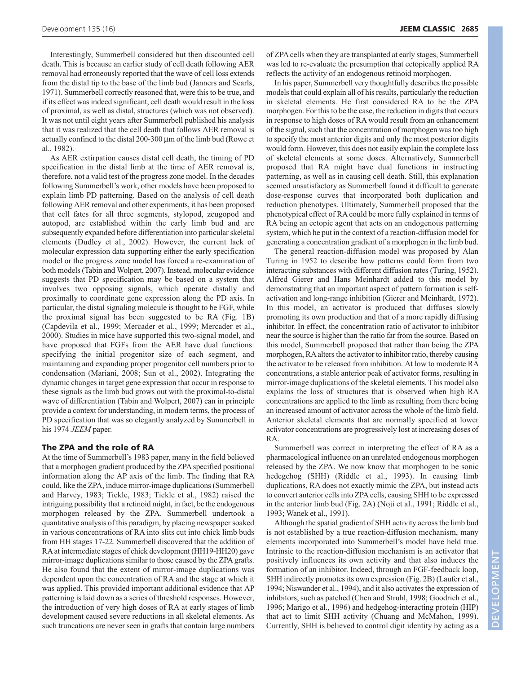Interestingly, Summerbell considered but then discounted cell death. This is because an earlier study of cell death following AER removal had erroneously reported that the wave of cell loss extends from the distal tip to the base of the limb bud (Janners and Searls, 1971). Summerbell correctly reasoned that, were this to be true, and if its effect was indeed significant, cell death would result in the loss of proximal, as well as distal, structures (which was not observed). It was not until eight years after Summerbell published his analysis that it was realized that the cell death that follows AER removal is actually confined to the distal 200-300 μm of the limb bud (Rowe et al., 1982).

As AER extirpation causes distal cell death, the timing of PD specification in the distal limb at the time of AER removal is, therefore, not a valid test of the progress zone model. In the decades following Summerbell's work, other models have been proposed to explain limb PD patterning. Based on the analysis of cell death following AER removal and other experiments, it has been proposed that cell fates for all three segments, stylopod, zeugopod and autopod, are established within the early limb bud and are subsequently expanded before differentiation into particular skeletal elements (Dudley et al., 2002). However, the current lack of molecular expression data supporting either the early specification model or the progress zone model has forced a re-examination of both models (Tabin and Wolpert, 2007). Instead, molecular evidence suggests that PD specification may be based on a system that involves two opposing signals, which operate distally and proximally to coordinate gene expression along the PD axis. In particular, the distal signaling molecule is thought to be FGF, while the proximal signal has been suggested to be RA (Fig. 1B) (Capdevila et al., 1999; Mercader et al., 1999; Mercader et al., 2000). Studies in mice have supported this two-signal model, and have proposed that FGFs from the AER have dual functions: specifying the initial progenitor size of each segment, and maintaining and expanding proper progenitor cell numbers prior to condensation (Mariani, 2008; Sun et al., 2002). Integrating the dynamic changes in target gene expression that occur in response to these signals as the limb bud grows out with the proximal-to-distal wave of differentiation (Tabin and Wolpert, 2007) can in principle provide a context for understanding, in modern terms, the process of PD specification that was so elegantly analyzed by Summerbell in his 1974 *JEEM* paper.

## **The ZPA and the role of RA**

At the time of Summerbell's 1983 paper, many in the field believed that a morphogen gradient produced by the ZPA specified positional information along the AP axis of the limb. The finding that RA could, like the ZPA, induce mirror-image duplications (Summerbell and Harvey, 1983; Tickle, 1983; Tickle et al., 1982) raised the intriguing possibility that a retinoid might, in fact, be the endogenous morphogen released by the ZPA. Summerbell undertook a quantitative analysis of this paradigm, by placing newspaper soaked in various concentrations of RA into slits cut into chick limb buds from HH stages 17-22. Summerbell discovered that the addition of RA at intermediate stages of chick development (HH19-HH20) gave mirror-image duplications similar to those caused by the ZPA grafts. He also found that the extent of mirror-image duplications was dependent upon the concentration of RA and the stage at which it was applied. This provided important additional evidence that AP patterning is laid down as a series of threshold responses. However, the introduction of very high doses of RA at early stages of limb development caused severe reductions in all skeletal elements. As such truncations are never seen in grafts that contain large numbers

of ZPA cells when they are transplanted at early stages, Summerbell was led to re-evaluate the presumption that ectopically applied RA reflects the activity of an endogenous retinoid morphogen.

In his paper, Summerbell very thoughtfully describes the possible models that could explain all of his results, particularly the reduction in skeletal elements. He first considered RA to be the ZPA morphogen. For this to be the case, the reduction in digits that occurs in response to high doses of RA would result from an enhancement of the signal, such that the concentration of morphogen was too high to specify the most anterior digits and only the most posterior digits would form. However, this does not easily explain the complete loss of skeletal elements at some doses. Alternatively, Summerbell proposed that RA might have dual functions in instructing patterning, as well as in causing cell death. Still, this explanation seemed unsatisfactory as Summerbell found it difficult to generate dose-response curves that incorporated both duplication and reduction phenotypes. Ultimately, Summerbell proposed that the phenotypical effect of RA could be more fully explained in terms of RA being an ectopic agent that acts on an endogenous patterning system, which he put in the context of a reaction-diffusion model for generating a concentration gradient of a morphogen in the limb bud.

The general reaction-diffusion model was proposed by Alan Turing in 1952 to describe how patterns could form from two interacting substances with different diffusion rates (Turing, 1952). Alfred Gierer and Hans Meinhardt added to this model by demonstrating that an important aspect of pattern formation is selfactivation and long-range inhibition (Gierer and Meinhardt, 1972). In this model, an activator is produced that diffuses slowly promoting its own production and that of a more rapidly diffusing inhibitor. In effect, the concentration ratio of activator to inhibitor near the source is higher than the ratio far from the source. Based on this model, Summerbell proposed that rather than being the ZPA morphogen, RA alters the activator to inhibitor ratio, thereby causing the activator to be released from inhibition. At low to moderate RA concentrations, a stable anterior peak of activator forms, resulting in mirror-image duplications of the skeletal elements. This model also explains the loss of structures that is observed when high RA concentrations are applied to the limb as resulting from there being an increased amount of activator across the whole of the limb field. Anterior skeletal elements that are normally specified at lower activator concentrations are progressively lost at increasing doses of RA.

Summerbell was correct in interpreting the effect of RA as a pharmacological influence on an unrelated endogenous morphogen released by the ZPA. We now know that morphogen to be sonic hedegehog (SHH) (Riddle et al., 1993). In causing limb duplications, RA does not exactly mimic the ZPA, but instead acts to convert anterior cells into ZPA cells, causing SHH to be expressed in the anterior limb bud (Fig. 2A) (Noji et al., 1991; Riddle et al., 1993; Wanek et al., 1991).

Although the spatial gradient of SHH activity across the limb bud is not established by a true reaction-diffusion mechanism, many elements incorporated into Summerbell's model have held true. Intrinsic to the reaction-diffusion mechanism is an activator that positively influences its own activity and that also induces the formation of an inhibitor. Indeed, through an FGF-feedback loop, SHH indirectly promotes its own expression (Fig. 2B) (Laufer et al., 1994; Niswander et al., 1994), and it also activates the expression of inhibitors, such as patched (Chen and Struhl, 1998; Goodrich et al., 1996; Marigo et al., 1996) and hedgehog-interacting protein (HIP) that act to limit SHH activity (Chuang and McMahon, 1999). Currently, SHH is believed to control digit identity by acting as a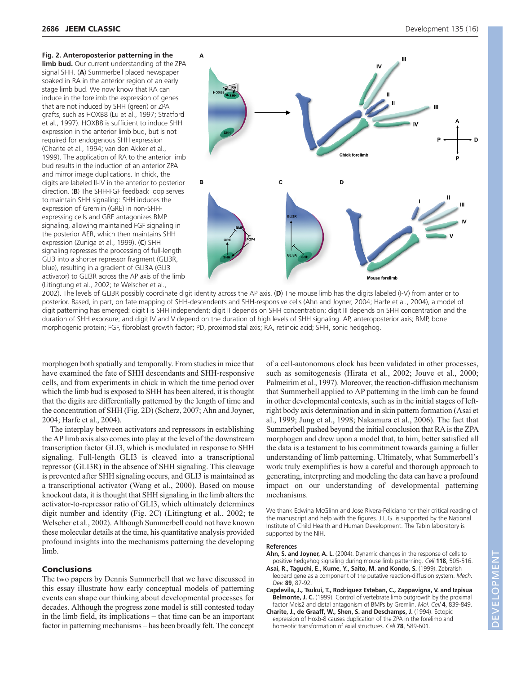**Fig. 2. Anteroposterior patterning in the limb bud.** Our current understanding of the ZPA signal SHH. (**A**) Summerbell placed newspaper soaked in RA in the anterior region of an early stage limb bud. We now know that RA can induce in the forelimb the expression of genes that are not induced by SHH (green) or ZPA grafts, such as HOXB8 (Lu et al., 1997; Stratford et al., 1997). HOXB8 is sufficient to induce SHH expression in the anterior limb bud, but is not required for endogenous SHH expression (Charite et al., 1994; van den Akker et al., 1999). The application of RA to the anterior limb bud results in the induction of an anterior ZPA and mirror image duplications. In chick, the digits are labeled II-IV in the anterior to posterior direction. (**B**) The SHH-FGF feedback loop serves to maintain SHH signaling: SHH induces the expression of Gremlin (GRE) in non-SHHexpressing cells and GRE antagonizes BMP signaling, allowing maintained FGF signaling in the posterior AER, which then maintains SHH expression (Zuniga et al., 1999). (**C**) SHH signaling represses the processing of full-length GLI3 into a shorter repressor fragment (GLI3R, blue), resulting in a gradient of GLI3A (GLI3 activator) to GLI3R across the AP axis of the limb (Litingtung et al., 2002; te Welscher et al.,



2002). The levels of GLI3R possibly coordinate digit identity across the AP axis. (**D**) The mouse limb has the digits labeled (I-V) from anterior to posterior. Based, in part, on fate mapping of SHH-descendents and SHH-responsive cells (Ahn and Joyner, 2004; Harfe et al., 2004), a model of digit patterning has emerged: digit I is SHH independent; digit II depends on SHH concentration; digit III depends on SHH concentration and the duration of SHH exposure; and digit IV and V depend on the duration of high levels of SHH signaling. AP, anteroposterior axis; BMP, bone morphogenic protein; FGF, fibroblast growth factor; PD, proximodistal axis; RA, retinoic acid; SHH, sonic hedgehog.

morphogen both spatially and temporally. From studies in mice that have examined the fate of SHH descendants and SHH-responsive cells, and from experiments in chick in which the time period over which the limb bud is exposed to SHH has been altered, it is thought that the digits are differentially patterned by the length of time and the concentration of SHH (Fig. 2D) (Scherz, 2007; Ahn and Joyner, 2004; Harfe et al., 2004).

The interplay between activators and repressors in establishing the AP limb axis also comes into play at the level of the downstream transcription factor GLI3, which is modulated in response to SHH signaling. Full-length GLI3 is cleaved into a transcriptional repressor (GLI3R) in the absence of SHH signaling. This cleavage is prevented after SHH signaling occurs, and GLI3 is maintained as a transcriptional activator (Wang et al., 2000). Based on mouse knockout data, it is thought that SHH signaling in the limb alters the activator-to-repressor ratio of GLI3, which ultimately determines digit number and identity (Fig. 2C) (Litingtung et al., 2002; te Welscher et al., 2002). Although Summerbell could not have known these molecular details at the time, his quantitative analysis provided profound insights into the mechanisms patterning the developing limb.

### **Conclusions**

The two papers by Dennis Summerbell that we have discussed in this essay illustrate how early conceptual models of patterning events can shape our thinking about developmental processes for decades. Although the progress zone model is still contested today in the limb field, its implications – that time can be an important factor in patterning mechanisms – has been broadly felt. The concept

of a cell-autonomous clock has been validated in other processes, such as somitogenesis (Hirata et al., 2002; Jouve et al., 2000; Palmeirim et al., 1997). Moreover, the reaction-diffusion mechanism that Summerbell applied to AP patterning in the limb can be found in other developmental contexts, such as in the initial stages of leftright body axis determination and in skin pattern formation (Asai et al., 1999; Jung et al., 1998; Nakamura et al., 2006). The fact that Summerbell pushed beyond the initial conclusion that RA is the ZPA morphogen and drew upon a model that, to him, better satisfied all the data is a testament to his commitment towards gaining a fuller understanding of limb patterning. Ultimately, what Summerbell's work truly exemplifies is how a careful and thorough approach to generating, interpreting and modeling the data can have a profound impact on our understanding of developmental patterning mechanisms.

We thank Edwina McGlinn and Jose Rivera-Feliciano for their critical reading of the manuscript and help with the figures. J.L.G. is supported by the National Institute of Child Health and Human Development. The Tabin laboratory is supported by the NIH.

#### **References**

Ahn, S. and Joyner, A. L. (2004). Dynamic changes in the response of cells to positive hedgehog signaling during mouse limb patterning. *Cell* **118**, 505-516.

- **Asai, R., Taguchi, E., Kume, Y., Saito, M. and Kondo, S.** (1999). Zebrafish leopard gene as a component of the putative reaction-diffusion system. *Mech. Dev.* **89**, 87-92.
- **Capdevila, J., Tsukui, T., Rodriquez Esteban, C., Zappavigna, V. and Izpisua Belmonte, J. C.** (1999). Control of vertebrate limb outgrowth by the proximal factor Meis2 and distal antagonism of BMPs by Gremlin. *Mol. Cell* **4**, 839-849.
- **Charite, J., de Graaff, W., Shen, S. and Deschamps, J.** (1994). Ectopic expression of Hoxb-8 causes duplication of the ZPA in the forelimb and homeotic transformation of axial structures. *Cell* **78**, 589-601.